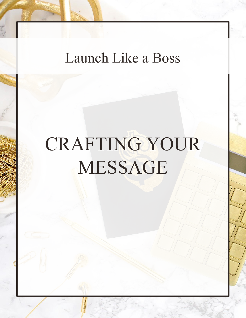# Launch Like a Boss

# CRAFTING YOUR MESSAGE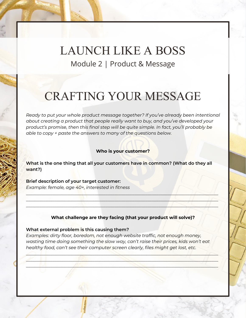### LAUNCH LIKE A BOSS Module 2 | Product & Message

## CRAFTING YOUR MESSAGE

*Ready to put your whole product message together? If you've already been intentional about creating a product that people really want to buy, and you've developed your product's promise, then this final step will be quite simple. In fact, you'll probably be able to copy + paste the answers to many of the questions below.*

#### **Who is your customer?**

**What is the one thing that all your customers have in common? (What do they all want?)**

**Brief description of your target customer:** *Example: female, age 40+, interested in fitness*

#### **What challenge are they facing (that your product will solve)?**

 $\Box$ \_\_\_\_\_\_\_\_\_\_\_\_\_\_\_\_\_\_\_\_\_\_\_\_\_\_\_\_\_\_\_\_\_\_\_\_\_\_\_\_\_\_\_\_\_\_\_\_\_\_\_\_\_\_\_\_\_\_\_\_\_\_\_\_\_\_\_\_\_\_\_\_\_\_\_\_\_\_\_\_\_\_\_\_\_\_\_  $\mathcal{L} = \{ \mathcal{L} \mid \mathcal{L} \leq \mathcal{L} \}$ 

#### **What external problem is this causing them?**

*Examples: dirty floor, boredom, not enough website traffic, not enough money, wasting time doing something the slow way, can't raise their prices, kids won't eat healthy food, can't see their computer screen clearly, files might get lost, etc.*

 $\triangle$  define the set of the set of the set of the set of the set of the set of the set of the set of the set of the set of the set of the set of the set of the set of the set of the set of the set of the set of the set of \_\_\_\_\_\_\_\_\_\_\_\_\_\_\_\_\_\_\_\_\_\_\_\_\_\_\_\_\_\_\_\_\_\_\_\_\_\_\_\_\_\_\_\_\_\_\_\_\_\_\_\_\_\_\_\_\_\_\_\_\_\_\_\_\_\_\_\_\_\_\_\_\_\_\_\_\_\_\_\_\_\_\_\_\_\_\_  $\Box$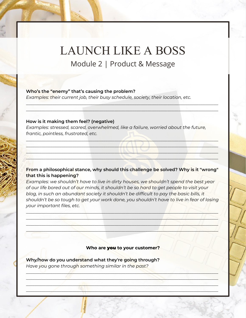# LAUNCH LIKE A BOSS

Module 2 | Product & Message

 $\mathcal{L}_\mathcal{A}$  , and the set of the set of the set of the set of the set of the set of the set of the set of the set of the set of the set of the set of the set of the set of the set of the set of the set of the set of th  $\mathcal{L} = \{ \mathcal{L} \mid \mathcal{L} \mid \mathcal{L} \mid \mathcal{L} \mid \mathcal{L} \mid \mathcal{L} \mid \mathcal{L} \mid \mathcal{L} \mid \mathcal{L} \mid \mathcal{L} \mid \mathcal{L} \mid \mathcal{L} \mid \mathcal{L} \mid \mathcal{L} \mid \mathcal{L} \mid \mathcal{L} \mid \mathcal{L} \mid \mathcal{L} \mid \mathcal{L} \mid \mathcal{L} \mid \mathcal{L} \mid \mathcal{L} \mid \mathcal{L} \mid \mathcal{L} \mid \mathcal{L} \mid \mathcal{L} \mid \mathcal$ 

#### **Who's the "enemy" that's causing the problem?**

*Examples: their current job, their busy schedule, society, their location, etc.*

#### **How is it making them feel? (negative)**

*Examples: stressed, scared, overwhelmed, like a failure, worried about the future, frantic, pointless, frustrated, etc.* 

#### **From a philosophical stance, why should this challenge be solved? Why is it "wrong" that this is happening?**

\_\_\_\_\_\_\_\_\_\_\_\_\_\_\_\_\_\_\_\_\_\_\_\_\_\_\_\_\_\_\_\_\_\_\_\_\_\_\_\_\_\_\_\_\_\_\_\_\_\_\_\_\_\_\_\_\_\_\_\_\_\_\_\_\_\_\_\_\_\_\_\_\_\_\_\_\_\_\_\_\_\_\_\_\_\_\_ \_\_\_\_\_\_\_\_\_\_\_\_\_\_\_\_\_\_\_\_\_\_\_\_\_\_\_\_\_\_\_\_\_\_\_\_\_\_\_\_\_\_\_\_\_\_\_\_\_\_\_\_\_\_\_\_\_\_\_\_\_\_\_\_\_\_\_\_\_\_\_\_\_\_\_\_\_\_\_\_\_\_\_\_\_\_\_ \_\_\_\_\_\_\_\_\_\_\_\_\_\_\_\_\_\_\_\_\_\_\_\_\_\_\_\_\_\_\_\_\_\_\_\_\_\_\_\_\_\_\_\_\_\_\_\_\_\_\_\_\_\_\_\_\_\_\_\_\_\_\_\_\_\_\_\_\_\_\_\_\_\_\_\_\_\_\_\_\_\_\_\_\_\_\_ \_\_\_\_\_\_\_\_\_\_\_\_\_\_\_\_\_\_\_\_\_\_\_\_\_\_\_\_\_\_\_\_\_\_\_\_\_\_\_\_\_\_\_\_\_\_\_\_\_\_\_\_\_\_\_\_\_\_\_\_\_\_\_\_\_\_\_\_\_\_\_\_\_\_\_\_\_\_\_\_\_\_\_\_\_\_\_

*Examples: we shouldn't have to live in dirty houses, we shouldn't spend the best year of our life bored out of our minds, it shouldn't be so hard to get people to visit your blog, in such an abundant society it shouldn't be difficult to pay the basic bills, it shouldn't be so tough to get your work done, you shouldn't have to live in fear of losing your important files, etc.*

\_\_\_\_\_\_\_\_\_\_\_\_\_\_\_\_\_\_\_\_\_\_\_\_\_\_\_\_\_\_\_\_\_\_\_\_\_\_\_\_\_\_\_\_\_\_\_\_\_\_\_\_\_\_\_\_\_\_\_\_\_\_\_\_\_\_\_\_\_\_\_\_\_\_\_\_\_\_\_\_\_\_\_\_\_\_\_ \_\_\_\_\_\_\_\_\_\_\_\_\_\_\_\_\_\_\_\_\_\_\_\_\_\_\_\_\_\_\_\_\_\_\_\_\_\_\_\_\_\_\_\_\_\_\_\_\_\_\_\_\_\_\_\_\_\_\_\_\_\_\_\_\_\_\_\_\_\_\_\_\_\_\_\_\_\_\_\_\_\_\_\_\_\_\_  $\blacksquare$  $\Box$ 

**Who are** you **to your customer?**

\_\_\_\_\_\_\_\_\_\_\_\_\_\_\_\_\_\_\_\_\_\_\_\_\_\_\_\_\_\_\_\_\_\_\_\_\_\_\_\_\_\_\_\_\_\_\_\_\_\_\_\_\_\_\_\_\_\_\_\_\_\_\_\_\_\_\_\_\_\_\_\_\_\_\_\_\_\_\_\_\_\_\_\_\_\_\_  $\mathcal{L}_\mathcal{A}$  , and the contract of the contract of the contract of the contract of the contract of the contract of  $\mathcal{L} = \{ \mathcal{L} \}$  and  $\mathcal{L} = \{ \mathcal{R} \}$  . In the set of the set of the set of the set of the set of the set of the set of the set of the set of the set of the set of the set of the set of the set of the set of the set  $\mathcal{L}_\text{max} = \mathcal{L}_\text{max} = \mathcal{L}_\text{max}$ 

**Why/how do you understand what they're going through?**  *Have you gone through something similar in the past?*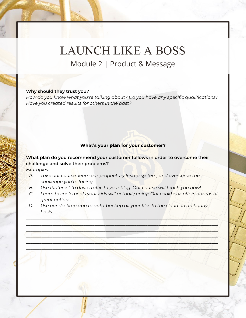### LAUNCH LIKE A BOSS Module 2 | Product & Message

#### **Why should they trust you?**

*How do you know what you're talking about? Do you have any specific qualifications? Have you created results for others in the past?*

 $\mathcal{L} = \{ \mathcal{L} \mid \mathcal{L} \mid \mathcal{L} \mid \mathcal{L} \mid \mathcal{L} \mid \mathcal{L} \mid \mathcal{L} \mid \mathcal{L} \mid \mathcal{L} \mid \mathcal{L} \mid \mathcal{L} \mid \mathcal{L} \mid \mathcal{L} \mid \mathcal{L} \mid \mathcal{L} \mid \mathcal{L} \mid \mathcal{L} \mid \mathcal{L} \mid \mathcal{L} \mid \mathcal{L} \mid \mathcal{L} \mid \mathcal{L} \mid \mathcal{L} \mid \mathcal{L} \mid \mathcal{L} \mid \mathcal{L} \mid \mathcal$  $\frac{1}{2}$  ,  $\frac{1}{2}$  ,  $\frac{1}{2}$  ,  $\frac{1}{2}$  ,  $\frac{1}{2}$  ,  $\frac{1}{2}$  ,  $\frac{1}{2}$  ,  $\frac{1}{2}$  ,  $\frac{1}{2}$  ,  $\frac{1}{2}$  ,  $\frac{1}{2}$  ,  $\frac{1}{2}$  ,  $\frac{1}{2}$  ,  $\frac{1}{2}$  ,  $\frac{1}{2}$  ,  $\frac{1}{2}$  ,  $\frac{1}{2}$  ,  $\frac{1}{2}$  ,  $\frac{1$  $\mathcal{L}_\mathcal{F}$  , and the contribution of the contribution of the contribution of the contribution of the contribution of the contribution of the contribution of the contribution of the contribution of the contribution of  $\mathcal{L}_\text{A}$  , and a set of the set of the set of the set of the set of the set of the set of the set of the set of the set of the set of the set of the set of the set of the set of the set of the set of the set of the s

#### **What's your** plan **for your customer?**

**What plan do you recommend your customer follows in order to overcome their challenge and solve their problems?**

*Examples:* 

- *A. Take our course, learn our proprietary 5-step system, and overcome the challenge you're facing.*
- *B. Use Pinterest to drive traffic to your blog. Our course will teach you how!*
- *C. Learn to cook meals your kids will actually enjoy! Our cookbook offers dozens of great options.*

\_\_\_\_\_\_\_\_\_\_\_\_\_\_\_\_\_\_\_\_\_\_\_\_\_\_\_\_\_\_\_\_\_\_\_\_\_\_\_\_\_\_\_\_\_\_\_\_\_\_\_\_\_\_\_\_\_\_\_\_\_\_\_\_\_\_\_\_\_\_\_\_\_\_\_\_\_\_\_\_\_\_\_\_\_\_\_  $\blacksquare$  $\Box$  $\frac{1}{2}$ \_\_\_\_\_\_\_\_\_\_\_\_\_\_\_\_\_\_\_\_\_\_\_\_\_\_\_\_\_\_\_\_\_\_\_\_\_\_\_\_\_\_\_\_\_\_\_\_\_\_\_\_\_\_\_\_\_\_\_\_\_\_\_\_\_\_\_\_\_\_\_\_\_\_\_\_\_\_\_\_\_\_\_\_\_\_\_ \_\_\_\_\_\_\_\_\_\_\_\_\_\_\_\_\_\_\_\_\_\_\_\_\_\_\_\_\_\_\_\_\_\_\_\_\_\_\_\_\_\_\_\_\_\_\_\_\_\_\_\_\_\_\_\_\_\_\_\_\_\_\_\_\_\_\_\_\_\_\_\_\_\_\_\_\_\_\_\_\_\_\_\_\_\_\_

*D. Use our desktop app to auto-backup all your files to the cloud on an hourly basis.*